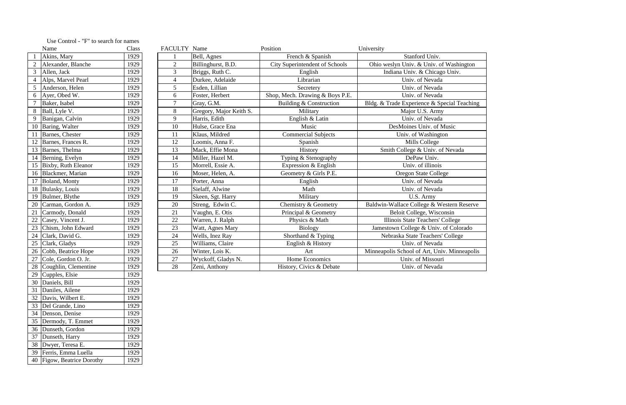|    | Name                           | FACULTY Name<br>Position<br>University<br>Class |                |                         |                                       |                                              |
|----|--------------------------------|-------------------------------------------------|----------------|-------------------------|---------------------------------------|----------------------------------------------|
|    | Akins, Mary                    | 1929                                            |                | Bell, Agnes             | French & Spanish                      | Stanford Univ.                               |
|    | Alexander, Blanche             | 1929                                            | $\overline{2}$ | Billinghurst, B.D.      | <b>City Superintendent of Schools</b> | Ohio weslyn Univ. & Univ. of Washington      |
| 3  | Allen, Jack                    | 1929                                            | 3              | Briggs, Ruth C.         | English                               | Indiana Univ. & Chicago Univ.                |
|    | Alps, Marvel Pearl             | 1929                                            | $\overline{4}$ | Durkee, Adelaide        | Librarian                             | Univ. of Nevada                              |
|    | Anderson, Helen                | 1929                                            | 5              | Esden, Lillian          | Secretery                             | Univ. of Nevada                              |
| 6  | Ayer, Obed W.                  | 1929                                            | 6              | Foster, Herbert         | Shop, Mech. Drawing & Boys P.E.       | Univ. of Nevada                              |
|    | Baker, Isabel                  | 1929                                            | $\overline{7}$ | Gray, G.M.              | Building & Construction               | Bldg. & Trade Experience & Special Teaching  |
|    | Ball, Lyle V.                  | 1929                                            | 8              | Gregory, Major Keith S. | Military                              | Major U.S. Army                              |
| 9  | Banigan, Calvin                | 1929                                            | 9              | Harris, Edith           | English & Latin                       | Univ. of Nevada                              |
| 10 | Baring, Walter                 | 1929                                            | 10             | Hulse, Grace Ena        | Music                                 | DesMoines Univ. of Music                     |
| 11 | Barnes, Chester                | 1929                                            | 11             | Klaus, Mildred          | <b>Commercial Subjects</b>            | Univ. of Washington                          |
|    | Barnes, Frances R.             | 1929                                            | 12             | Loomis, Anna F.         | Spanish                               | Mills College                                |
|    | $\overline{13}$ Barnes, Thelma | 1929                                            | 13             | Mack, Effie Mona        | History                               | Smith College & Univ. of Nevada              |
|    | 14 Berning, Evelyn             | 1929                                            | 14             | Miller, Hazel M.        | Typing & Stenography                  | DePaw Univ.                                  |
|    | 15 Bixby, Ruth Eleanor         | 1929                                            | 15             | Morrell, Essie A.       | Expression & English                  | Univ. of illinois                            |
| 16 | Blackmer, Marian               | 1929                                            | 16             | Moser, Helen, A.        | Geometry & Girls P.E.                 | Oregon State College                         |
| 17 | Boland, Monty                  | 1929                                            | 17             | Porter, Anna            | English                               | Univ. of Nevada                              |
|    | 18 Bulasky, Louis              | 1929                                            | 18             | Sielaff, Alwine         | Math                                  | Univ. of Nevada                              |
| 19 | Bulmer, Blythe                 | 1929                                            | 19             | Skeen, Sgt. Harry       | Military                              | U.S. Army                                    |
| 20 | Carman, Gordon A.              | 1929                                            | 20             | Streng, Edwin C.        | Chemistry & Geometry                  | Baldwin-Wallace College & Western Reserve    |
| 21 | Carmody, Donald                | 1929                                            | 21             | Vaughn, E. Otis         | Principal & Geometry                  | Beloit College, Wisconsin                    |
| 22 | Casey, Vincent J.              | 1929                                            | 22             | Warren, J. Ralph        | Physics & Math                        | Illinois State Teachers' College             |
| 23 | Chism, John Edward             | 1929                                            | 23             | Watt, Agnes Mary        | <b>Biology</b>                        | Jamestown College & Univ. of Colorado        |
| 24 | Clark, David G.                | 1929                                            | 24             | Wells, Inez Ray         | Shorthand & Typing                    | Nebraska State Teachers' College             |
| 25 | Clark, Gladys                  | 1929                                            | 25             | Williams, Claire        | English & History                     | Univ. of Nevada                              |
| 26 | Cobb, Beatrice Hope            | 1929                                            | 26             | Winter, Lois K.         | Art                                   | Minneapolis School of Art, Univ. Minneapolis |
| 27 | Cole, Gordon O. Jr.            | 1929                                            | 27             | Wyckoff, Gladys N.      | Home Economics                        | Univ. of Missouri                            |
| 28 | Coughlin, Clementine           | 1929                                            | 28             | Zeni, Anthony           | History, Civics & Debate              | Univ. of Nevada                              |

|                | Name                    | Class |
|----------------|-------------------------|-------|
| $\mathbf{1}$   | Akins, Mary             | 1929  |
| $\overline{2}$ | Alexander, Blanche      | 1929  |
| 3              | Allen, Jack             | 1929  |
| $\overline{4}$ | Alps, Marvel Pearl      | 1929  |
| 5              | Anderson, Helen         | 1929  |
| 6              | Ayer, Obed W.           | 1929  |
| 7              | Baker, Isabel           | 1929  |
| 8              | Ball, Lyle V.           | 1929  |
| 9              | Banigan, Calvin         | 1929  |
| 10             | Baring, Walter          | 1929  |
| 11             | Barnes, Chester         | 1929  |
| 12             | Barnes, Frances R.      | 1929  |
| 13             | Barnes, Thelma          | 1929  |
| 14             | Berning, Evelyn         | 1929  |
| 15             | Bixby, Ruth Eleanor     | 1929  |
| 16             | Blackmer, Marian        | 1929  |
| 17             | Boland, Monty           | 1929  |
| 18             | Bulasky, Louis          | 1929  |
| 19             | Bulmer, Blythe          | 1929  |
| 20             | Carman, Gordon A.       | 1929  |
| 21             | Carmody, Donald         | 1929  |
| 22             | Casey, Vincent J.       | 1929  |
| 23             | Chism, John Edward      | 1929  |
| 24             | Clark, David G.         | 1929  |
| 25             | Clark, Gladys           | 1929  |
| 26             | Cobb, Beatrice Hope     | 1929  |
| 27             | Cole, Gordon O. Jr.     | 1929  |
| 28             | Coughlin, Clementine    | 1929  |
| 29             | Cupples, Elsie          | 1929  |
| 30             | Daniels, Bill           | 1929  |
| 31             | Daniles, Ailene         | 1929  |
| 32             | Davis, Wilbert E.       | 1929  |
| 33             | Del Grande, Lino        | 1929  |
| 34             | Denson, Denise          | 1929  |
| 35             | Dermody, T. Emmet       | 1929  |
| 36             | Dunseth, Gordon         | 1929  |
| 37             | Dunseth, Harry          | 1929  |
| 38             | Dwyer, Teresa E.        | 1929  |
| 39             | Ferris, Emma Luella     | 1929  |
| 40             | Figow, Beatrice Dorothy | 1929  |

## Use Control - "F" to search for names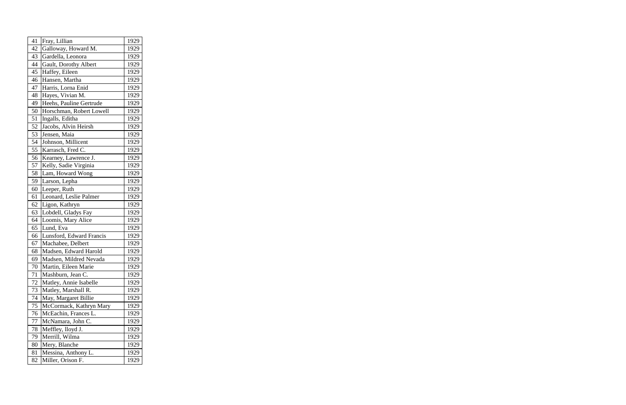| 41 | Fray, Lillian            | 1929 |
|----|--------------------------|------|
| 42 | Galloway, Howard M.      | 1929 |
| 43 | Gardella, Leonora        | 1929 |
| 44 | Gault, Dorothy Albert    | 1929 |
| 45 | Haffey, Eileen           | 1929 |
| 46 | Hansen, Martha           | 1929 |
| 47 | Harris, Lorna Enid       | 1929 |
| 48 | Hayes, Vivian M.         | 1929 |
| 49 | Heehs, Pauline Gertrude  | 1929 |
| 50 | Horschman, Robert Lowell | 1929 |
| 51 | Ingalls, Editha          | 1929 |
| 52 | Jacobs, Alvin Heirsh     | 1929 |
| 53 | Jensen, Maia             | 1929 |
| 54 | Johnson, Millicent       | 1929 |
| 55 | Karrasch, Fred C.        | 1929 |
| 56 | Kearney, Lawrence J.     | 1929 |
| 57 | Kelly, Sadie Virginia    | 1929 |
| 58 | Lam, Howard Wong         | 1929 |
| 59 | Larson, Lepha            | 1929 |
| 60 | Leeper, Ruth             | 1929 |
| 61 | Leonard, Leslie Palmer   | 1929 |
| 62 | Ligon, Kathryn           | 1929 |
| 63 | Lobdell, Gladys Fay      | 1929 |
| 64 | Loomis, Mary Alice       | 1929 |
| 65 | Lund, Eva                | 1929 |
| 66 | Lunsford, Edward Francis | 1929 |
| 67 | Machabee, Delbert        | 1929 |
| 68 | Madsen, Edward Harold    | 1929 |
| 69 | Madsen, Mildred Nevada   | 1929 |
| 70 | Martin, Eileen Marie     | 1929 |
| 71 | Mashburn, Jean C.        | 1929 |
| 72 | Matley, Annie Isabelle   | 1929 |
| 73 | Matley, Marshall R.      | 1929 |
| 74 | May, Margaret Billie     | 1929 |
| 75 | McCormack, Kathryn Mary  | 1929 |
| 76 | McEachin, Frances L.     | 1929 |
| 77 | McNamara, John C.        | 1929 |
| 78 | Meffley, lloyd J.        | 1929 |
| 79 | Merrill, Wilma           | 1929 |
| 80 | Mery, Blanche            | 1929 |
| 81 | Messina, Anthony L.      | 1929 |
| 82 | Miller, Orison F.        | 1929 |